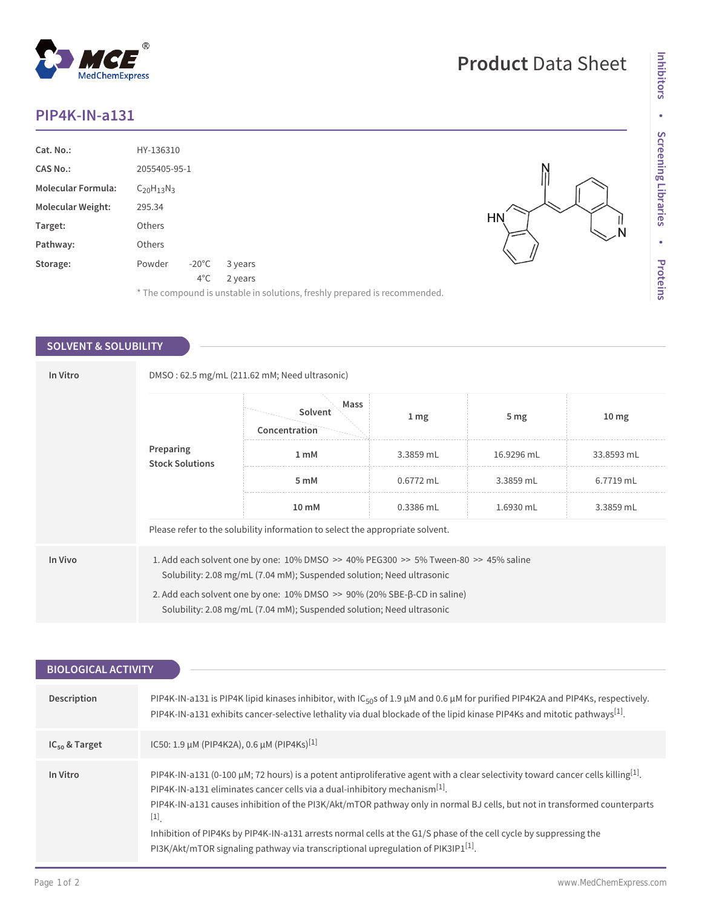## **PIP4K-IN-a131**

| Cat. No.:                 | HY-136310                                                                 |         |
|---------------------------|---------------------------------------------------------------------------|---------|
| <b>CAS No.:</b>           | 2055405-95-1                                                              |         |
| <b>Molecular Formula:</b> | $C_{20}H_{13}N_3$                                                         |         |
| <b>Molecular Weight:</b>  | 295.34                                                                    |         |
| Target:                   | Others                                                                    | HN<br>N |
| Pathway:                  | Others                                                                    |         |
| Storage:                  | Powder<br>$-20^{\circ}$ C<br>3 years                                      |         |
|                           | $4^{\circ}$ C<br>2 years                                                  |         |
|                           | * The compound is unstable in solutions, freshly prepared is recommended. |         |

## **SOLVENT & SOLUBILITY**

| In Vitro |                                     | DMSO: 62.5 mg/mL (211.62 mM; Need ultrasonic)                                                                                                                               |                  |                 |                  |  |
|----------|-------------------------------------|-----------------------------------------------------------------------------------------------------------------------------------------------------------------------------|------------------|-----------------|------------------|--|
|          |                                     | Mass<br>Solvent<br>Concentration                                                                                                                                            | $1 \, \text{mg}$ | 5 <sub>mg</sub> | 10 <sub>mg</sub> |  |
|          | Preparing<br><b>Stock Solutions</b> | 1 <sub>mM</sub>                                                                                                                                                             | 3.3859 mL        | 16.9296 mL      | 33.8593 mL       |  |
|          |                                     | 5 mM                                                                                                                                                                        | $0.6772$ mL      | 3.3859 mL       | 6.7719 mL        |  |
|          |                                     | 10 mM                                                                                                                                                                       | 0.3386 mL        | 1.6930 mL       | 3.3859 mL        |  |
|          |                                     | Please refer to the solubility information to select the appropriate solvent.                                                                                               |                  |                 |                  |  |
| In Vivo  |                                     | 1. Add each solvent one by one: $10\%$ DMSO $\geq$ 40% PEG300 $\geq$ 5% Tween-80 $\geq$ 45% saline<br>Solubility: 2.08 mg/mL (7.04 mM); Suspended solution; Need ultrasonic |                  |                 |                  |  |
|          |                                     | 2. Add each solvent one by one: $10\%$ DMSO $\geq$ 90% (20% SBE- $\beta$ -CD in saline)<br>Solubility: 2.08 mg/mL (7.04 mM); Suspended solution; Need ultrasonic            |                  |                 |                  |  |

| <b>BIOLOGICAL ACTIVITY</b> |                                                                                                                                                                                                                                                                                                                                                                                                                                                                                                                                                                                          |
|----------------------------|------------------------------------------------------------------------------------------------------------------------------------------------------------------------------------------------------------------------------------------------------------------------------------------------------------------------------------------------------------------------------------------------------------------------------------------------------------------------------------------------------------------------------------------------------------------------------------------|
|                            |                                                                                                                                                                                                                                                                                                                                                                                                                                                                                                                                                                                          |
| Description                | PIP4K-IN-a131 is PIP4K lipid kinases inhibitor, with IC <sub>50</sub> s of 1.9 $\mu$ M and 0.6 $\mu$ M for purified PIP4K2A and PIP4Ks, respectively.<br>PIP4K-IN-a131 exhibits cancer-selective lethality via dual blockade of the lipid kinase PIP4Ks and mitotic pathways <sup>[1]</sup> .                                                                                                                                                                                                                                                                                            |
| $IC_{50}$ & Target         | IC50: 1.9 µM (PIP4K2A), 0.6 µM (PIP4Ks) <sup>[1]</sup>                                                                                                                                                                                                                                                                                                                                                                                                                                                                                                                                   |
| In Vitro                   | PIP4K-IN-a131 (0-100 µM; 72 hours) is a potent antiproliferative agent with a clear selectivity toward cancer cells killing <sup>[1]</sup> .<br>PIP4K-IN-a131 eliminates cancer cells via a dual-inhibitory mechanism <sup>[1]</sup> .<br>PIP4K-IN-a131 causes inhibition of the PI3K/Akt/mTOR pathway only in normal BJ cells, but not in transformed counterparts<br>$[1]$<br>Inhibition of PIP4Ks by PIP4K-IN-a131 arrests normal cells at the G1/S phase of the cell cycle by suppressing the<br>PI3K/Akt/mTOR signaling pathway via transcriptional upregulation of PIK3IP1 $[1]$ . |